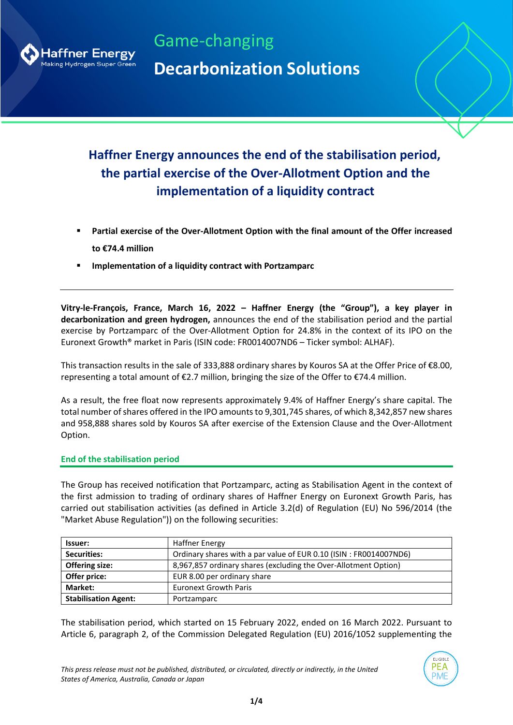

Game-changing **Decarbonization Solutions**

# **Haffner Energy announces the end of the stabilisation period, the partial exercise of the Over-Allotment Option and the implementation of a liquidity contract**

- Partial exercise of the Over-Allotment Option with the final amount of the Offer increased **to €74.4 million**
- **Implementation of a liquidity contract with Portzamparc**

**Vitry-le-François, France, March 16, 2022 – Haffner Energy (the "Group"), a key player in decarbonization and green hydrogen,** announces the end of the stabilisation period and the partial exercise by Portzamparc of the Over-Allotment Option for 24.8% in the context of its IPO on the Euronext Growth® market in Paris (ISIN code: FR0014007ND6 – Ticker symbol: ALHAF).

This transaction results in the sale of 333,888 ordinary shares by Kouros SA at the Offer Price of €8.00, representing a total amount of €2.7 million, bringing the size of the Offer to €74.4 million.

As a result, the free float now represents approximately 9.4% of Haffner Energy's share capital. The total number of shares offered in the IPO amounts to 9,301,745 shares, of which 8,342,857 new shares and 958,888 shares sold by Kouros SA after exercise of the Extension Clause and the Over-Allotment Option.

### **End of the stabilisation period**

The Group has received notification that Portzamparc, acting as Stabilisation Agent in the context of the first admission to trading of ordinary shares of Haffner Energy on Euronext Growth Paris, has carried out stabilisation activities (as defined in Article 3.2(d) of Regulation (EU) No 596/2014 (the "Market Abuse Regulation")) on the following securities:

| lssuer:                     | <b>Haffner Energy</b>                                             |  |  |  |
|-----------------------------|-------------------------------------------------------------------|--|--|--|
| <b>Securities:</b>          | Ordinary shares with a par value of EUR 0.10 (ISIN: FR0014007ND6) |  |  |  |
| <b>Offering size:</b>       | 8,967,857 ordinary shares (excluding the Over-Allotment Option)   |  |  |  |
| Offer price:                | EUR 8.00 per ordinary share                                       |  |  |  |
| Market:                     | <b>Euronext Growth Paris</b>                                      |  |  |  |
| <b>Stabilisation Agent:</b> | Portzamparc                                                       |  |  |  |

The stabilisation period, which started on 15 February 2022, ended on 16 March 2022. Pursuant to Article 6, paragraph 2, of the Commission Delegated Regulation (EU) 2016/1052 supplementing the

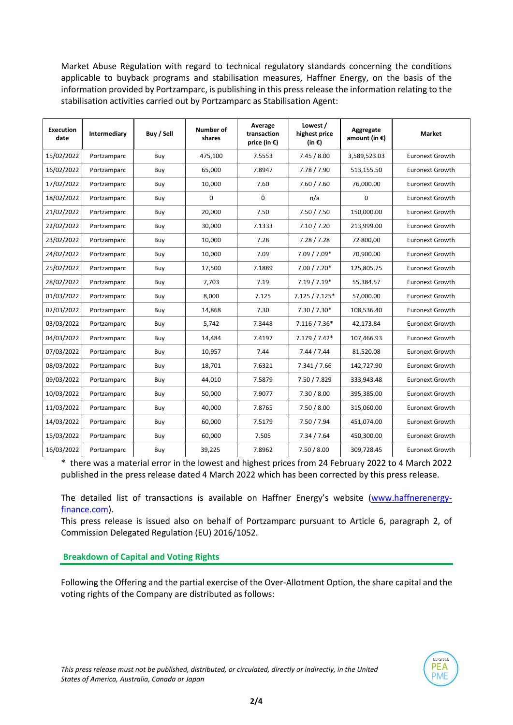Market Abuse Regulation with regard to technical regulatory standards concerning the conditions applicable to buyback programs and stabilisation measures, Haffner Energy, on the basis of the information provided by Portzamparc, is publishing in this press release the information relating to the stabilisation activities carried out by Portzamparc as Stabilisation Agent:

| <b>Execution</b><br>date | Intermediary | Buy / Sell | Number of<br>shares | Average<br>transaction<br>price (in $\epsilon$ ) | Lowest /<br>highest price<br>(in $\epsilon$ ) | Aggregate<br>amount (in $\epsilon$ ) | <b>Market</b>          |
|--------------------------|--------------|------------|---------------------|--------------------------------------------------|-----------------------------------------------|--------------------------------------|------------------------|
| 15/02/2022               | Portzamparc  | Buy        | 475,100             | 7.5553                                           | 7.45 / 8.00                                   | 3,589,523.03                         | <b>Euronext Growth</b> |
| 16/02/2022               | Portzamparc  | Buy        | 65,000              | 7.8947                                           | 7.78 / 7.90                                   | 513,155.50                           | <b>Euronext Growth</b> |
| 17/02/2022               | Portzamparc  | Buy        | 10,000              | 7.60                                             | 7.60 / 7.60                                   | 76,000.00                            | <b>Euronext Growth</b> |
| 18/02/2022               | Portzamparc  | Buy        | 0                   | 0                                                | n/a                                           | 0                                    | <b>Euronext Growth</b> |
| 21/02/2022               | Portzamparc  | Buy        | 20,000              | 7.50                                             | 7.50 / 7.50                                   | 150,000.00                           | Euronext Growth        |
| 22/02/2022               | Portzamparc  | Buy        | 30,000              | 7.1333                                           | 7.10 / 7.20                                   | 213,999.00                           | <b>Euronext Growth</b> |
| 23/02/2022               | Portzamparc  | Buy        | 10,000              | 7.28                                             | 7.28 / 7.28                                   | 72 800,00                            | <b>Euronext Growth</b> |
| 24/02/2022               | Portzamparc  | Buy        | 10,000              | 7.09                                             | 7.09 / 7.09*                                  | 70,900.00                            | <b>Euronext Growth</b> |
| 25/02/2022               | Portzamparc  | Buy        | 17,500              | 7.1889                                           | $7.00 / 7.20*$                                | 125,805.75                           | <b>Euronext Growth</b> |
| 28/02/2022               | Portzamparc  | Buy        | 7,703               | 7.19                                             | $7.19 / 7.19*$                                | 55,384.57                            | <b>Euronext Growth</b> |
| 01/03/2022               | Portzamparc  | Buy        | 8,000               | 7.125                                            | $7.125 / 7.125*$                              | 57,000.00                            | <b>Euronext Growth</b> |
| 02/03/2022               | Portzamparc  | Buy        | 14.868              | 7.30                                             | $7.30 / 7.30*$                                | 108,536.40                           | Euronext Growth        |
| 03/03/2022               | Portzamparc  | Buy        | 5,742               | 7.3448                                           | $7.116 / 7.36*$                               | 42,173.84                            | <b>Euronext Growth</b> |
| 04/03/2022               | Portzamparc  | Buy        | 14,484              | 7.4197                                           | $7.179 / 7.42*$                               | 107,466.93                           | <b>Euronext Growth</b> |
| 07/03/2022               | Portzamparc  | Buy        | 10,957              | 7.44                                             | 7.44 / 7.44                                   | 81,520.08                            | <b>Euronext Growth</b> |
| 08/03/2022               | Portzamparc  | Buy        | 18,701              | 7.6321                                           | 7.341 / 7.66                                  | 142,727.90                           | <b>Euronext Growth</b> |
| 09/03/2022               | Portzamparc  | Buy        | 44,010              | 7.5879                                           | 7.50 / 7.829                                  | 333,943.48                           | <b>Euronext Growth</b> |
| 10/03/2022               | Portzamparc  | Buy        | 50,000              | 7.9077                                           | 7.30 / 8.00                                   | 395,385.00                           | <b>Euronext Growth</b> |
| 11/03/2022               | Portzamparc  | Buy        | 40.000              | 7.8765                                           | 7.50 / 8.00                                   | 315,060.00                           | Euronext Growth        |
| 14/03/2022               | Portzamparc  | Buy        | 60,000              | 7.5179                                           | 7.50 / 7.94                                   | 451,074.00                           | <b>Euronext Growth</b> |
| 15/03/2022               | Portzamparc  | Buy        | 60,000              | 7.505                                            | 7.34 / 7.64                                   | 450,300.00                           | <b>Euronext Growth</b> |
| 16/03/2022               | Portzamparc  | Buy        | 39,225              | 7.8962                                           | 7.50 / 8.00                                   | 309,728.45                           | Euronext Growth        |

\* there was a material error in the lowest and highest prices from 24 February 2022 to 4 March 2022 published in the press release dated 4 March 2022 which has been corrected by this press release.

The detailed list of transactions is available on Haffner Energy's website ([www.haffnerenergy](http://www.haffnerenergy-finance.com/)[finance.com\)](http://www.haffnerenergy-finance.com/).

This press release is issued also on behalf of Portzamparc pursuant to Article 6, paragraph 2, of Commission Delegated Regulation (EU) 2016/1052.

**Breakdown of Capital and Voting Rights**

Following the Offering and the partial exercise of the Over-Allotment Option, the share capital and the voting rights of the Company are distributed as follows:

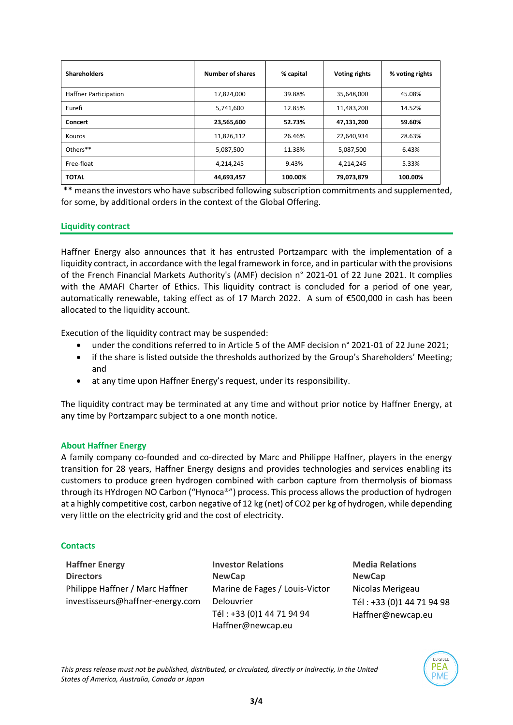| <b>Shareholders</b>          | Number of shares     | % capital | <b>Voting rights</b> | % voting rights |
|------------------------------|----------------------|-----------|----------------------|-----------------|
| <b>Haffner Participation</b> | 17,824,000<br>39.88% |           | 35,648,000           | 45.08%          |
| Eurefi                       | 5,741,600            | 12.85%    | 11,483,200           | 14.52%          |
| <b>Concert</b>               | 23,565,600           | 52.73%    | 47,131,200           | 59.60%          |
| Kouros                       | 11,826,112           | 26.46%    | 22,640,934           | 28.63%          |
| Others**                     | 5,087,500            | 11.38%    | 5,087,500            | 6.43%           |
| Free-float                   | 4,214,245            | 9.43%     | 4,214,245            | 5.33%           |
| <b>TOTAL</b>                 | 44,693,457           | 100.00%   | 79,073,879           | 100.00%         |

\*\* means the investors who have subscribed following subscription commitments and supplemented, for some, by additional orders in the context of the Global Offering.

# **Liquidity contract**

Haffner Energy also announces that it has entrusted Portzamparc with the implementation of a liquidity contract, in accordance with the legal framework in force, and in particular with the provisions of the French Financial Markets Authority's (AMF) decision n° 2021-01 of 22 June 2021. It complies with the AMAFI Charter of Ethics. This liquidity contract is concluded for a period of one year, automatically renewable, taking effect as of 17 March 2022. A sum of €500,000 in cash has been allocated to the liquidity account.

Execution of the liquidity contract may be suspended:

- under the conditions referred to in Article 5 of the AMF decision n° 2021-01 of 22 June 2021;
- if the share is listed outside the thresholds authorized by the Group's Shareholders' Meeting; and
- at any time upon Haffner Energy's request, under its responsibility.

The liquidity contract may be terminated at any time and without prior notice by Haffner Energy, at any time by Portzamparc subject to a one month notice.

### **About Haffner Energy**

A family company co-founded and co-directed by Marc and Philippe Haffner, players in the energy transition for 28 years, Haffner Energy designs and provides technologies and services enabling its customers to produce green hydrogen combined with carbon capture from thermolysis of biomass through its HYdrogen NO Carbon ("Hynoca®") process. This process allows the production of hydrogen at a highly competitive cost, carbon negative of 12 kg (net) of CO2 per kg of hydrogen, while depending very little on the electricity grid and the cost of electricity.

### **Contacts**

**Haffner Energy Directors** Philippe Haffner / Marc Haffner [investisseurs@haffner-energy.com](mailto:investisseurs@haffner-energy.com) **Investor Relations NewCap** Marine de Fages / Louis-Victor Delouvrier Tél : +33 (0)1 44 71 94 94 [Haffner@newcap.eu](mailto:Haffner@newcap.eu)

**Media Relations NewCap** Nicolas Merigeau Tél : +33 (0)1 44 71 94 98 [Haffner@newcap.eu](mailto:Haffner@newcap.eu)